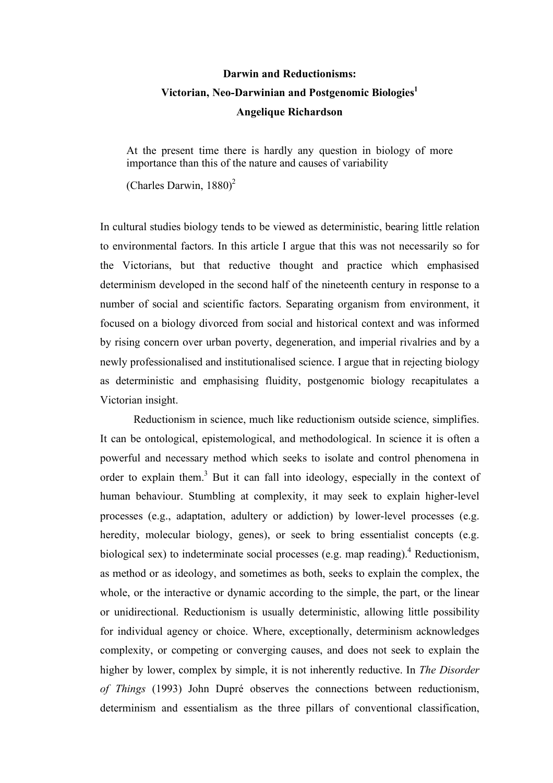# **Darwin and Reductionisms: Victorian, Neo-Darwinian and Postgenomic Biologies 1 Angelique Richardson**

At the present time there is hardly any question in biology of more importance than this of the nature and causes of variability

(Charles Darwin, 1880) 2

In cultural studies biology tends to be viewed as deterministic, bearing little relation to environmental factors. In this article I argue that this was not necessarily so for the Victorians, but that reductive thought and practice which emphasised determinism developed in the second half of the nineteenth century in response to a number of social and scientific factors. Separating organism from environment, it focused on a biology divorced from social and historical context and was informed by rising concern over urban poverty, degeneration, and imperial rivalries and by a newly professionalised and institutionalised science. I argue that in rejecting biology as deterministic and emphasising fluidity, postgenomic biology recapitulates a Victorian insight.

Reductionism in science, much like reductionism outside science, simplifies. It can be ontological, epistemological, and methodological. In science it is often a powerful and necessary method which seeks to isolate and control phenomena in order to explain them.<sup>3</sup> But it can fall into ideology, especially in the context of human behaviour. Stumbling at complexity, it may seek to explain higher-level processes (e.g., adaptation, adultery or addiction) by lower-level processes (e.g. heredity, molecular biology, genes), or seek to bring essentialist concepts (e.g. biological sex) to indeterminate social processes (e.g. map reading). <sup>4</sup> Reductionism, as method or as ideology, and sometimes as both, seeks to explain the complex, the whole, or the interactive or dynamic according to the simple, the part, or the linear or unidirectional. Reductionism is usually deterministic, allowing little possibility for individual agency or choice. Where, exceptionally, determinism acknowledges complexity, or competing or converging causes, and does not seek to explain the higher by lower, complex by simple, it is not inherently reductive. In *The Disorder of Things* (1993) John Dupré observes the connections between reductionism, determinism and essentialism as the three pillars of conventional classification,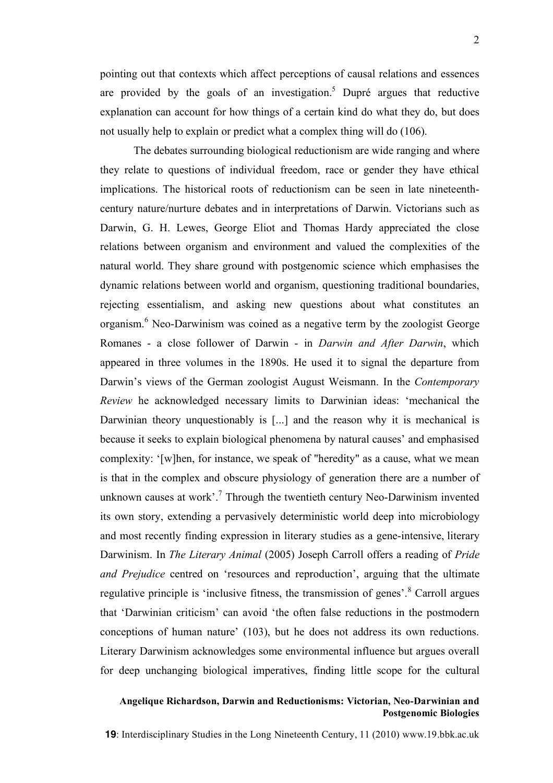pointing out that contexts which affect perceptions of causal relations and essences are provided by the goals of an investigation.<sup>5</sup> Dupré argues that reductive explanation can account for how things of a certain kind do what they do, but does not usually help to explain or predict what a complex thing will do (106).

The debates surrounding biological reductionism are wide ranging and where they relate to questions of individual freedom, race or gender they have ethical implications. The historical roots of reductionism can be seen in late nineteenthcentury nature/nurture debates and in interpretations of Darwin. Victorians such as Darwin, G. H. Lewes, George Eliot and Thomas Hardy appreciated the close relations between organism and environment and valued the complexities of the natural world. They share ground with postgenomic science which emphasises the dynamic relations between world and organism, questioning traditional boundaries, rejecting essentialism, and asking new questions about what constitutes an organism. <sup>6</sup> Neo-Darwinism was coined as a negative term by the zoologist George Romanes - a close follower of Darwin - in *Darwin and After Darwin*, which appeared in three volumes in the 1890s. He used it to signal the departure from Darwin's views of the German zoologist August Weismann. In the *Contemporary Review* he acknowledged necessary limits to Darwinian ideas: 'mechanical the Darwinian theory unquestionably is [...] and the reason why it is mechanical is because it seeks to explain biological phenomena by natural causes' and emphasised complexity: '[w]hen, for instance, we speak of "heredity" as a cause, what we mean is that in the complex and obscure physiology of generation there are a number of unknown causes at work'.<sup>7</sup> Through the twentieth century Neo-Darwinism invented its own story, extending a pervasively deterministic world deep into microbiology and most recently finding expression in literary studies as a gene-intensive, literary Darwinism. In *The Literary Animal* (2005) Joseph Carroll offers a reading of *Pride and Prejudice* centred on 'resources and reproduction', arguing that the ultimate regulative principle is 'inclusive fitness, the transmission of genes'.<sup>8</sup> Carroll argues that 'Darwinian criticism' can avoid 'the often false reductions in the postmodern conceptions of human nature' (103), but he does not address its own reductions. Literary Darwinism acknowledges some environmental influence but argues overall for deep unchanging biological imperatives, finding little scope for the cultural

# **Angelique Richardson, Darwin and Reductionisms: Victorian, Neo-Darwinian and Postgenomic Biologies**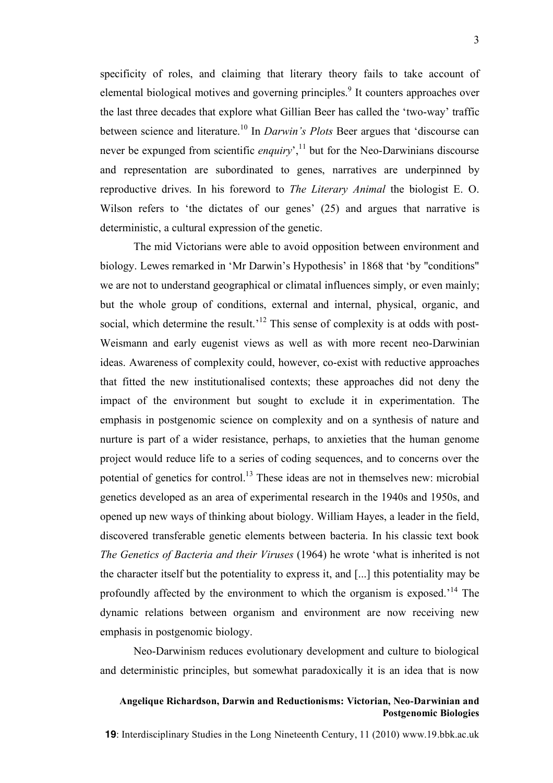specificity of roles, and claiming that literary theory fails to take account of elemental biological motives and governing principles.<sup>9</sup> It counters approaches over the last three decades that explore what Gillian Beer has called the 'two-way' traffic between science and literature. <sup>10</sup> In *Darwin's Plots* Beer argues that 'discourse can never be expunged from scientific *enquiry*<sup>'</sup>,<sup>11</sup> but for the Neo-Darwinians discourse and representation are subordinated to genes, narratives are underpinned by reproductive drives. In his foreword to *The Literary Animal* the biologist E. O. Wilson refers to 'the dictates of our genes' (25) and argues that narrative is deterministic, a cultural expression of the genetic.

The mid Victorians were able to avoid opposition between environment and biology. Lewes remarked in 'Mr Darwin's Hypothesis' in 1868 that 'by "conditions" we are not to understand geographical or climatal influences simply, or even mainly; but the whole group of conditions, external and internal, physical, organic, and social, which determine the result.<sup>12</sup> This sense of complexity is at odds with post-Weismann and early eugenist views as well as with more recent neo-Darwinian ideas. Awareness of complexity could, however, co-exist with reductive approaches that fitted the new institutionalised contexts; these approaches did not deny the impact of the environment but sought to exclude it in experimentation. The emphasis in postgenomic science on complexity and on a synthesis of nature and nurture is part of a wider resistance, perhaps, to anxieties that the human genome project would reduce life to a series of coding sequences, and to concerns over the potential of genetics for control.<sup>13</sup> These ideas are not in themselves new: microbial genetics developed as an area of experimental research in the 1940s and 1950s, and opened up new ways of thinking about biology. William Hayes, a leader in the field, discovered transferable genetic elements between bacteria. In his classic text book *The Genetics of Bacteria and their Viruses* (1964) he wrote 'what is inherited is not the character itself but the potentiality to express it, and [...] this potentiality may be profoundly affected by the environment to which the organism is exposed.<sup>14</sup> The dynamic relations between organism and environment are now receiving new emphasis in postgenomic biology.

Neo-Darwinism reduces evolutionary development and culture to biological and deterministic principles, but somewhat paradoxically it is an idea that is now

# **Angelique Richardson, Darwin and Reductionisms: Victorian, Neo-Darwinian and Postgenomic Biologies**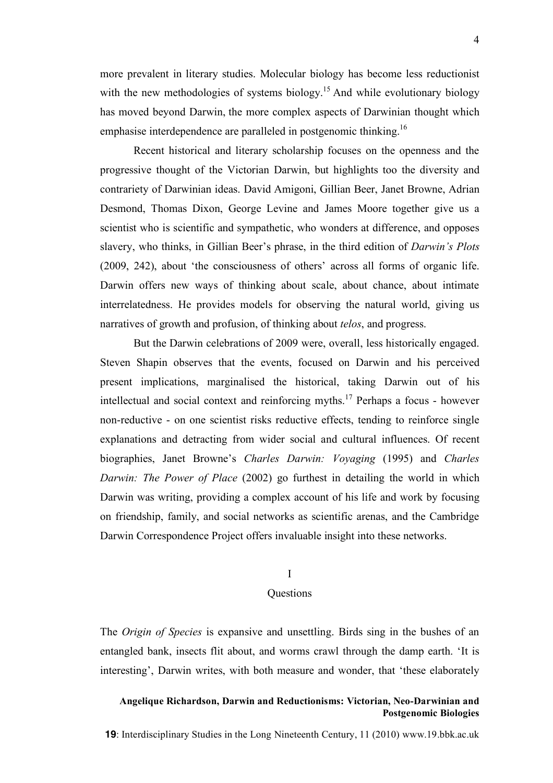more prevalent in literary studies. Molecular biology has become less reductionist with the new methodologies of systems biology.<sup>15</sup> And while evolutionary biology has moved beyond Darwin, the more complex aspects of Darwinian thought which emphasise interdependence are paralleled in postgenomic thinking.<sup>16</sup>

Recent historical and literary scholarship focuses on the openness and the progressive thought of the Victorian Darwin, but highlights too the diversity and contrariety of Darwinian ideas. David Amigoni, Gillian Beer, Janet Browne, Adrian Desmond, Thomas Dixon, George Levine and James Moore together give us a scientist who is scientific and sympathetic, who wonders at difference, and opposes slavery, who thinks, in Gillian Beer's phrase, in the third edition of *Darwin's Plots* (2009, 242), about 'the consciousness of others' across all forms of organic life. Darwin offers new ways of thinking about scale, about chance, about intimate interrelatedness. He provides models for observing the natural world, giving us narratives of growth and profusion, of thinking about *telos*, and progress.

But the Darwin celebrations of 2009 were, overall, less historically engaged. Steven Shapin observes that the events, focused on Darwin and his perceived present implications, marginalised the historical, taking Darwin out of his intellectual and social context and reinforcing myths. <sup>17</sup> Perhaps a focus - however non-reductive - on one scientist risks reductive effects, tending to reinforce single explanations and detracting from wider social and cultural influences. Of recent biographies, Janet Browne's *Charles Darwin: Voyaging* (1995) and *Charles Darwin: The Power of Place* (2002) go furthest in detailing the world in which Darwin was writing, providing a complex account of his life and work by focusing on friendship, family, and social networks as scientific arenas, and the Cambridge Darwin Correspondence Project offers invaluable insight into these networks.

# I

## **Ouestions**

The *Origin of Species* is expansive and unsettling. Birds sing in the bushes of an entangled bank, insects flit about, and worms crawl through the damp earth. 'It is interesting', Darwin writes, with both measure and wonder, that 'these elaborately

# **Angelique Richardson, Darwin and Reductionisms: Victorian, Neo-Darwinian and Postgenomic Biologies**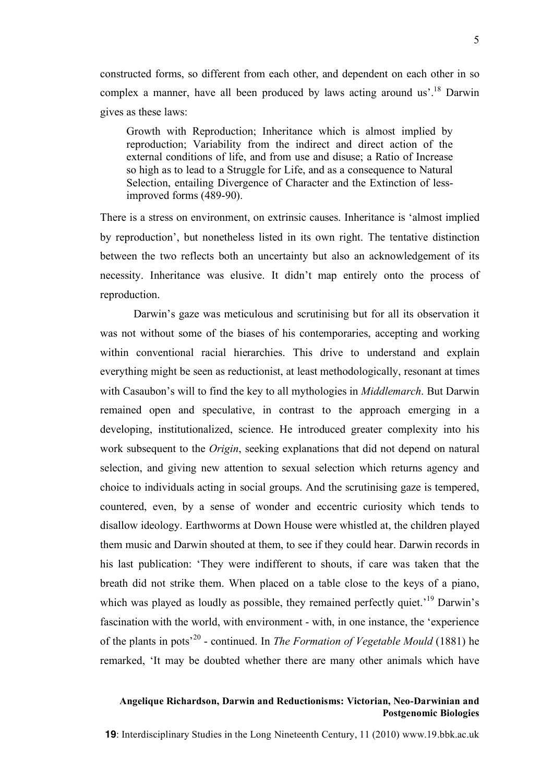constructed forms, so different from each other, and dependent on each other in so complex a manner, have all been produced by laws acting around us'.<sup>18</sup> Darwin gives as these laws:

Growth with Reproduction; Inheritance which is almost implied by reproduction; Variability from the indirect and direct action of the external conditions of life, and from use and disuse; a Ratio of Increase so high as to lead to a Struggle for Life, and as a consequence to Natural Selection, entailing Divergence of Character and the Extinction of lessimproved forms (489-90).

There is a stress on environment, on extrinsic causes. Inheritance is 'almost implied by reproduction', but nonetheless listed in its own right. The tentative distinction between the two reflects both an uncertainty but also an acknowledgement of its necessity. Inheritance was elusive. It didn't map entirely onto the process of reproduction.

Darwin's gaze was meticulous and scrutinising but for all its observation it was not without some of the biases of his contemporaries, accepting and working within conventional racial hierarchies. This drive to understand and explain everything might be seen as reductionist, at least methodologically, resonant at times with Casaubon's will to find the key to all mythologies in *Middlemarch*. But Darwin remained open and speculative, in contrast to the approach emerging in a developing, institutionalized, science. He introduced greater complexity into his work subsequent to the *Origin*, seeking explanations that did not depend on natural selection, and giving new attention to sexual selection which returns agency and choice to individuals acting in social groups. And the scrutinising gaze is tempered, countered, even, by a sense of wonder and eccentric curiosity which tends to disallow ideology. Earthworms at Down House were whistled at, the children played them music and Darwin shouted at them, to see if they could hear. Darwin records in his last publication: 'They were indifferent to shouts, if care was taken that the breath did not strike them. When placed on a table close to the keys of a piano, which was played as loudly as possible, they remained perfectly quiet.<sup>19</sup> Darwin's fascination with the world, with environment - with, in one instance, the 'experience of the plants in pots' <sup>20</sup> - continued. In *The Formation of Vegetable Mould* (1881) he remarked, 'It may be doubted whether there are many other animals which have

## **Angelique Richardson, Darwin and Reductionisms: Victorian, Neo-Darwinian and Postgenomic Biologies**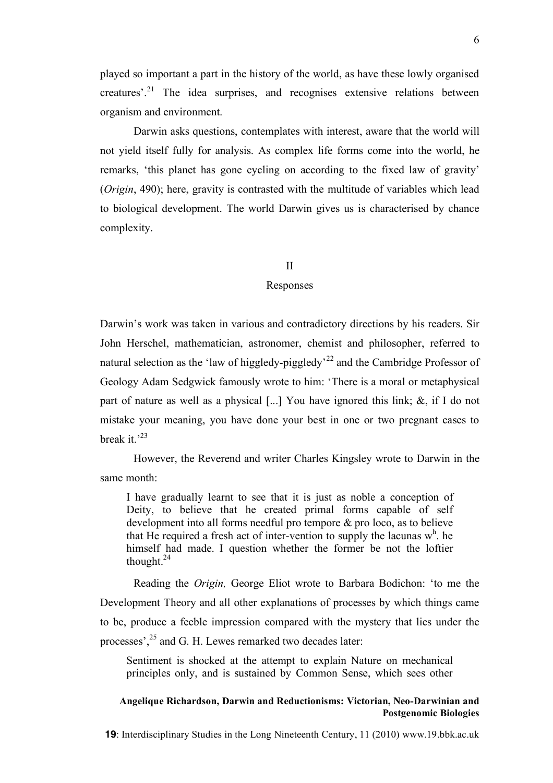played so important a part in the history of the world, as have these lowly organised creatures<sup>'.21</sup> The idea surprises, and recognises extensive relations between organism and environment.

Darwin asks questions, contemplates with interest, aware that the world will not yield itself fully for analysis. As complex life forms come into the world, he remarks, 'this planet has gone cycling on according to the fixed law of gravity' (*Origin*, 490); here, gravity is contrasted with the multitude of variables which lead to biological development. The world Darwin gives us is characterised by chance complexity.

## II

#### Responses

Darwin's work was taken in various and contradictory directions by his readers. Sir John Herschel, mathematician, astronomer, chemist and philosopher, referred to natural selection as the 'law of higgledy-piggledy'<sup>22</sup> and the Cambridge Professor of Geology Adam Sedgwick famously wrote to him: 'There is a moral or metaphysical part of nature as well as a physical [...] You have ignored this link; &, if I do not mistake your meaning, you have done your best in one or two pregnant cases to break it.'<sup>23</sup>

However, the Reverend and writer Charles Kingsley wrote to Darwin in the same month:

I have gradually learnt to see that it is just as noble a conception of Deity, to believe that he created primal forms capable of self development into all forms needful pro tempore & pro loco, as to believe that He required a fresh act of inter-vention to supply the lacunas  $w<sup>h</sup>$ . he himself had made. I question whether the former be not the loftier thought. $^{24}$ 

Reading the *Origin,* George Eliot wrote to Barbara Bodichon: 'to me the Development Theory and all other explanations of processes by which things came to be, produce a feeble impression compared with the mystery that lies under the processes',<sup>25</sup> and G. H. Lewes remarked two decades later:

Sentiment is shocked at the attempt to explain Nature on mechanical principles only, and is sustained by Common Sense, which sees other

# **Angelique Richardson, Darwin and Reductionisms: Victorian, Neo-Darwinian and Postgenomic Biologies**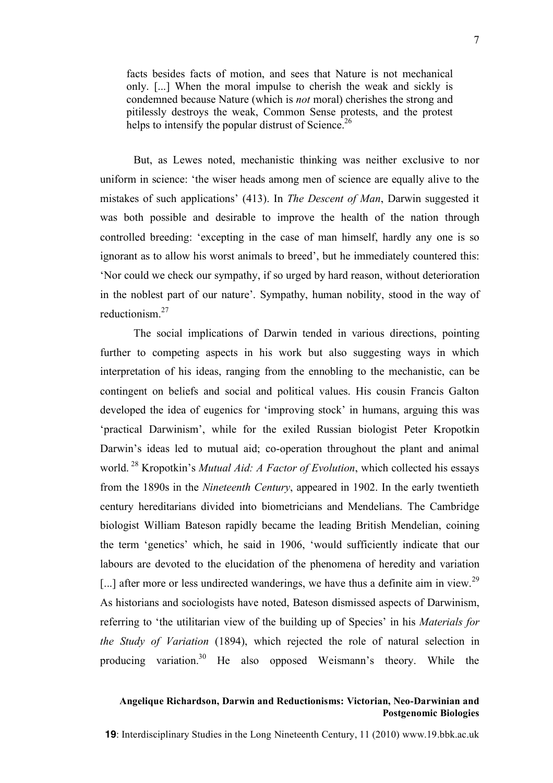facts besides facts of motion, and sees that Nature is not mechanical only. [...] When the moral impulse to cherish the weak and sickly is condemned because Nature (which is *not* moral) cherishes the strong and pitilessly destroys the weak, Common Sense protests, and the protest helps to intensify the popular distrust of Science.<sup>26</sup>

But, as Lewes noted, mechanistic thinking was neither exclusive to nor uniform in science: 'the wiser heads among men of science are equally alive to the mistakes of such applications' (413). In *The Descent of Man*, Darwin suggested it was both possible and desirable to improve the health of the nation through controlled breeding: 'excepting in the case of man himself, hardly any one is so ignorant as to allow his worst animals to breed', but he immediately countered this: 'Nor could we check our sympathy, if so urged by hard reason, without deterioration in the noblest part of our nature'. Sympathy, human nobility, stood in the way of reductionism. 27

The social implications of Darwin tended in various directions, pointing further to competing aspects in his work but also suggesting ways in which interpretation of his ideas, ranging from the ennobling to the mechanistic, can be contingent on beliefs and social and political values. His cousin Francis Galton developed the idea of eugenics for 'improving stock' in humans, arguing this was 'practical Darwinism', while for the exiled Russian biologist Peter Kropotkin Darwin's ideas led to mutual aid; co-operation throughout the plant and animal world. <sup>28</sup> Kropotkin's *Mutual Aid: A Factor of Evolution*, which collected his essays from the 1890s in the *Nineteenth Century*, appeared in 1902. In the early twentieth century hereditarians divided into biometricians and Mendelians. The Cambridge biologist William Bateson rapidly became the leading British Mendelian, coining the term 'genetics' which, he said in 1906, 'would sufficiently indicate that our labours are devoted to the elucidation of the phenomena of heredity and variation [...] after more or less undirected wanderings, we have thus a definite aim in view.<sup>29</sup> As historians and sociologists have noted, Bateson dismissed aspects of Darwinism, referring to 'the utilitarian view of the building up of Species' in his *Materials for the Study of Variation* (1894), which rejected the role of natural selection in producing variation.<sup>30</sup> He also opposed Weismann's theory. While the

# **Angelique Richardson, Darwin and Reductionisms: Victorian, Neo-Darwinian and Postgenomic Biologies**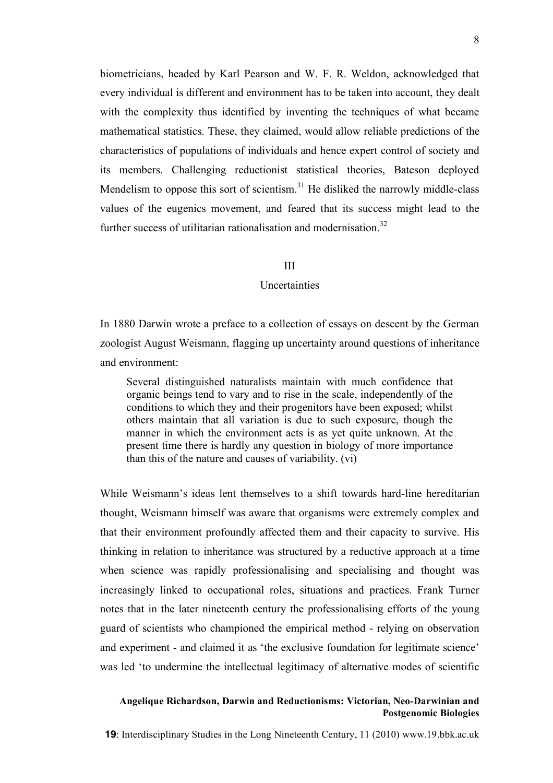biometricians, headed by Karl Pearson and W. F. R. Weldon, acknowledged that every individual is different and environment has to be taken into account, they dealt with the complexity thus identified by inventing the techniques of what became mathematical statistics. These, they claimed, would allow reliable predictions of the characteristics of populations of individuals and hence expert control of society and its members. Challenging reductionist statistical theories, Bateson deployed Mendelism to oppose this sort of scientism. $3<sup>1</sup>$  He disliked the narrowly middle-class values of the eugenics movement, and feared that its success might lead to the further success of utilitarian rationalisation and modernisation.<sup>32</sup>

### III

#### **Uncertainties**

In 1880 Darwin wrote a preface to a collection of essays on descent by the German zoologist August Weismann, flagging up uncertainty around questions of inheritance and environment:

Several distinguished naturalists maintain with much confidence that organic beings tend to vary and to rise in the scale, independently of the conditions to which they and their progenitors have been exposed; whilst others maintain that all variation is due to such exposure, though the manner in which the environment acts is as yet quite unknown. At the present time there is hardly any question in biology of more importance than this of the nature and causes of variability. (vi)

While Weismann's ideas lent themselves to a shift towards hard-line hereditarian thought, Weismann himself was aware that organisms were extremely complex and that their environment profoundly affected them and their capacity to survive. His thinking in relation to inheritance was structured by a reductive approach at a time when science was rapidly professionalising and specialising and thought was increasingly linked to occupational roles, situations and practices. Frank Turner notes that in the later nineteenth century the professionalising efforts of the young guard of scientists who championed the empirical method - relying on observation and experiment - and claimed it as 'the exclusive foundation for legitimate science' was led 'to undermine the intellectual legitimacy of alternative modes of scientific

# **Angelique Richardson, Darwin and Reductionisms: Victorian, Neo-Darwinian and Postgenomic Biologies**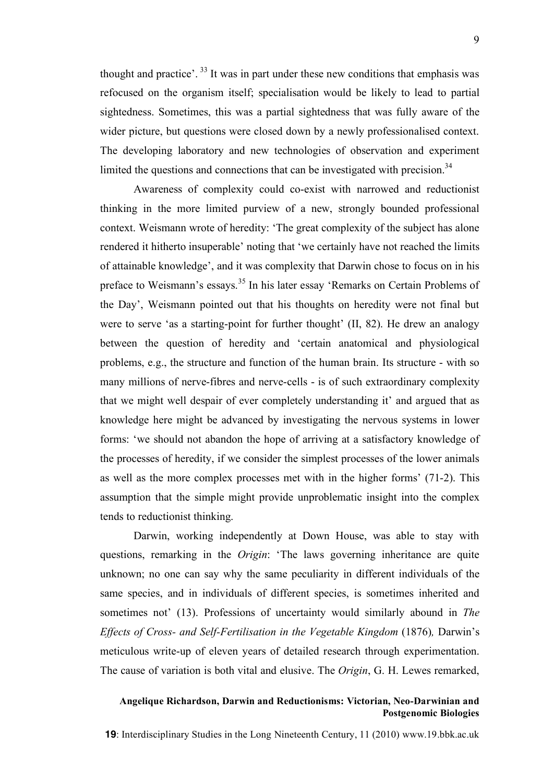thought and practice'.<sup>33</sup> It was in part under these new conditions that emphasis was refocused on the organism itself; specialisation would be likely to lead to partial sightedness. Sometimes, this was a partial sightedness that was fully aware of the wider picture, but questions were closed down by a newly professionalised context. The developing laboratory and new technologies of observation and experiment limited the questions and connections that can be investigated with precision.<sup>34</sup>

Awareness of complexity could co-exist with narrowed and reductionist thinking in the more limited purview of a new, strongly bounded professional context. Weismann wrote of heredity: 'The great complexity of the subject has alone rendered it hitherto insuperable' noting that 'we certainly have not reached the limits of attainable knowledge', and it was complexity that Darwin chose to focus on in his preface to Weismann's essays.<sup>35</sup> In his later essay 'Remarks on Certain Problems of the Day', Weismann pointed out that his thoughts on heredity were not final but were to serve 'as a starting-point for further thought' (II, 82). He drew an analogy between the question of heredity and 'certain anatomical and physiological problems, e.g., the structure and function of the human brain. Its structure - with so many millions of nerve-fibres and nerve-cells - is of such extraordinary complexity that we might well despair of ever completely understanding it' and argued that as knowledge here might be advanced by investigating the nervous systems in lower forms: 'we should not abandon the hope of arriving at a satisfactory knowledge of the processes of heredity, if we consider the simplest processes of the lower animals as well as the more complex processes met with in the higher forms' (71-2). This assumption that the simple might provide unproblematic insight into the complex tends to reductionist thinking.

Darwin, working independently at Down House, was able to stay with questions, remarking in the *Origin*: 'The laws governing inheritance are quite unknown; no one can say why the same peculiarity in different individuals of the same species, and in individuals of different species, is sometimes inherited and sometimes not' (13). Professions of uncertainty would similarly abound in *The Effects of Cross- and Self-Fertilisation in the Vegetable Kingdom* (1876)*,* Darwin's meticulous write-up of eleven years of detailed research through experimentation. The cause of variation is both vital and elusive. The *Origin*, G. H. Lewes remarked,

# **Angelique Richardson, Darwin and Reductionisms: Victorian, Neo-Darwinian and Postgenomic Biologies**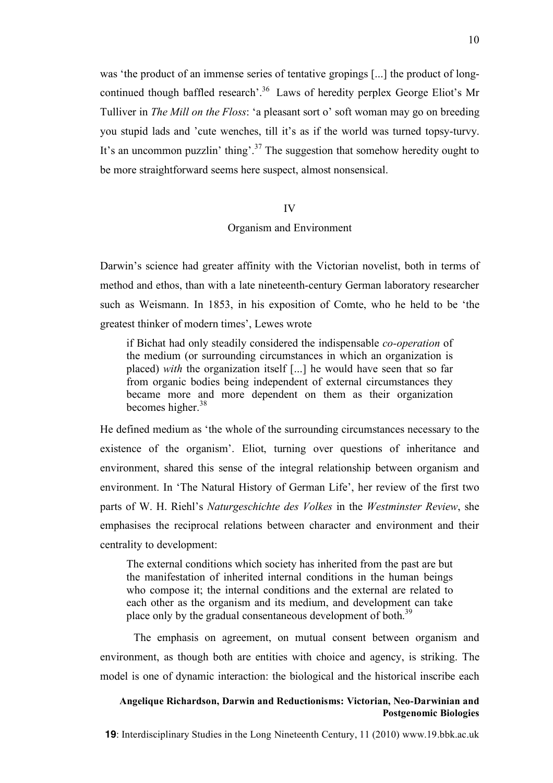was 'the product of an immense series of tentative gropings [...] the product of longcontinued though baffled research'.<sup>36</sup> Laws of heredity perplex George Eliot's Mr Tulliver in *The Mill on the Floss*: 'a pleasant sort o' soft woman may go on breeding you stupid lads and 'cute wenches, till it's as if the world was turned topsy-turvy. It's an uncommon puzzlin' thing'.<sup>37</sup> The suggestion that somehow heredity ought to be more straightforward seems here suspect, almost nonsensical.

### IV

### Organism and Environment

Darwin's science had greater affinity with the Victorian novelist, both in terms of method and ethos, than with a late nineteenth-century German laboratory researcher such as Weismann. In 1853, in his exposition of Comte, who he held to be 'the greatest thinker of modern times', Lewes wrote

if Bichat had only steadily considered the indispensable *co-operation* of the medium (or surrounding circumstances in which an organization is placed) *with* the organization itself [...] he would have seen that so far from organic bodies being independent of external circumstances they became more and more dependent on them as their organization becomes higher.<sup>38</sup>

He defined medium as 'the whole of the surrounding circumstances necessary to the existence of the organism'. Eliot, turning over questions of inheritance and environment, shared this sense of the integral relationship between organism and environment. In 'The Natural History of German Life', her review of the first two parts of W. H. Riehl's *Naturgeschichte des Volkes* in the *Westminster Review*, she emphasises the reciprocal relations between character and environment and their centrality to development:

The external conditions which society has inherited from the past are but the manifestation of inherited internal conditions in the human beings who compose it; the internal conditions and the external are related to each other as the organism and its medium, and development can take place only by the gradual consentaneous development of both.<sup>39</sup>

The emphasis on agreement, on mutual consent between organism and environment, as though both are entities with choice and agency, is striking. The model is one of dynamic interaction: the biological and the historical inscribe each

# **Angelique Richardson, Darwin and Reductionisms: Victorian, Neo-Darwinian and Postgenomic Biologies**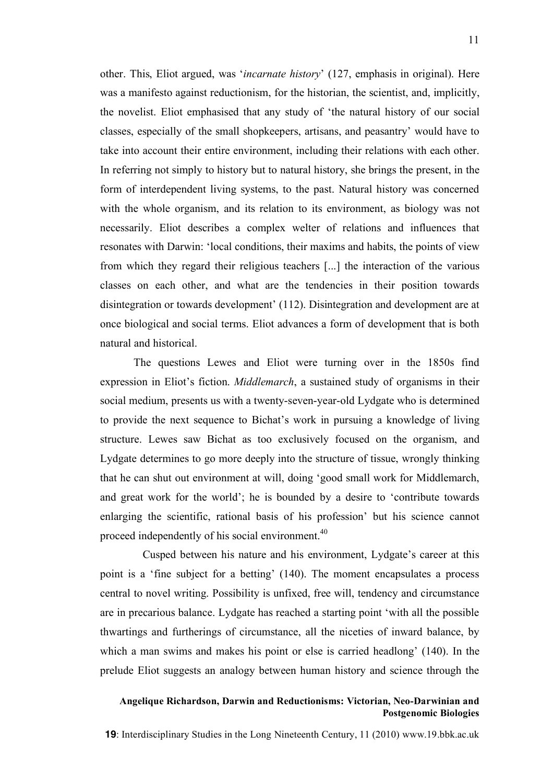other. This, Eliot argued, was '*incarnate history*' (127, emphasis in original). Here was a manifesto against reductionism, for the historian, the scientist, and, implicitly, the novelist. Eliot emphasised that any study of 'the natural history of our social classes, especially of the small shopkeepers, artisans, and peasantry' would have to take into account their entire environment, including their relations with each other. In referring not simply to history but to natural history, she brings the present, in the form of interdependent living systems, to the past. Natural history was concerned with the whole organism, and its relation to its environment, as biology was not necessarily. Eliot describes a complex welter of relations and influences that resonates with Darwin: 'local conditions, their maxims and habits, the points of view from which they regard their religious teachers [...] the interaction of the various classes on each other, and what are the tendencies in their position towards disintegration or towards development' (112). Disintegration and development are at once biological and social terms. Eliot advances a form of development that is both natural and historical.

The questions Lewes and Eliot were turning over in the 1850s find expression in Eliot's fiction. *Middlemarch*, a sustained study of organisms in their social medium, presents us with a twenty-seven-year-old Lydgate who is determined to provide the next sequence to Bichat's work in pursuing a knowledge of living structure. Lewes saw Bichat as too exclusively focused on the organism, and Lydgate determines to go more deeply into the structure of tissue, wrongly thinking that he can shut out environment at will, doing 'good small work for Middlemarch, and great work for the world'; he is bounded by a desire to 'contribute towards enlarging the scientific, rational basis of his profession' but his science cannot proceed independently of his social environment.<sup>40</sup>

Cusped between his nature and his environment, Lydgate's career at this point is a 'fine subject for a betting' (140). The moment encapsulates a process central to novel writing. Possibility is unfixed, free will, tendency and circumstance are in precarious balance. Lydgate has reached a starting point 'with all the possible thwartings and furtherings of circumstance, all the niceties of inward balance, by which a man swims and makes his point or else is carried headlong' (140). In the prelude Eliot suggests an analogy between human history and science through the

# **Angelique Richardson, Darwin and Reductionisms: Victorian, Neo-Darwinian and Postgenomic Biologies**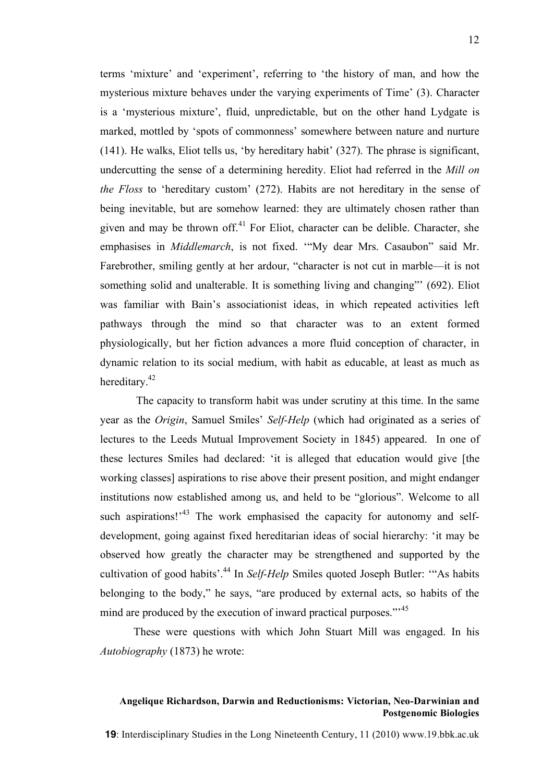terms 'mixture' and 'experiment', referring to 'the history of man, and how the mysterious mixture behaves under the varying experiments of Time' (3). Character is a 'mysterious mixture', fluid, unpredictable, but on the other hand Lydgate is marked, mottled by 'spots of commonness' somewhere between nature and nurture (141). He walks, Eliot tells us, 'by hereditary habit' (327). The phrase is significant, undercutting the sense of a determining heredity. Eliot had referred in the *Mill on the Floss* to 'hereditary custom' (272). Habits are not hereditary in the sense of being inevitable, but are somehow learned: they are ultimately chosen rather than given and may be thrown off. <sup>41</sup> For Eliot, character can be delible. Character, she emphasises in *Middlemarch*, is not fixed. '"My dear Mrs. Casaubon" said Mr. Farebrother, smiling gently at her ardour, "character is not cut in marble—it is not something solid and unalterable. It is something living and changing" (692). Eliot was familiar with Bain's associationist ideas, in which repeated activities left pathways through the mind so that character was to an extent formed physiologically, but her fiction advances a more fluid conception of character, in dynamic relation to its social medium, with habit as educable, at least as much as hereditary.<sup>42</sup>

The capacity to transform habit was under scrutiny at this time. In the same year as the *Origin*, Samuel Smiles' *Self-Help* (which had originated as a series of lectures to the Leeds Mutual Improvement Society in 1845) appeared. In one of these lectures Smiles had declared: 'it is alleged that education would give [the working classes] aspirations to rise above their present position, and might endanger institutions now established among us, and held to be "glorious". Welcome to all such aspirations!<sup>43</sup> The work emphasised the capacity for autonomy and selfdevelopment, going against fixed hereditarian ideas of social hierarchy: 'it may be observed how greatly the character may be strengthened and supported by the cultivation of good habits'. <sup>44</sup> In *Self-Help* Smiles quoted Joseph Butler: '"As habits belonging to the body," he says, "are produced by external acts, so habits of the mind are produced by the execution of inward practical purposes."<sup>45</sup>

These were questions with which John Stuart Mill was engaged. In his *Autobiography* (1873) he wrote:

# **Angelique Richardson, Darwin and Reductionisms: Victorian, Neo-Darwinian and Postgenomic Biologies**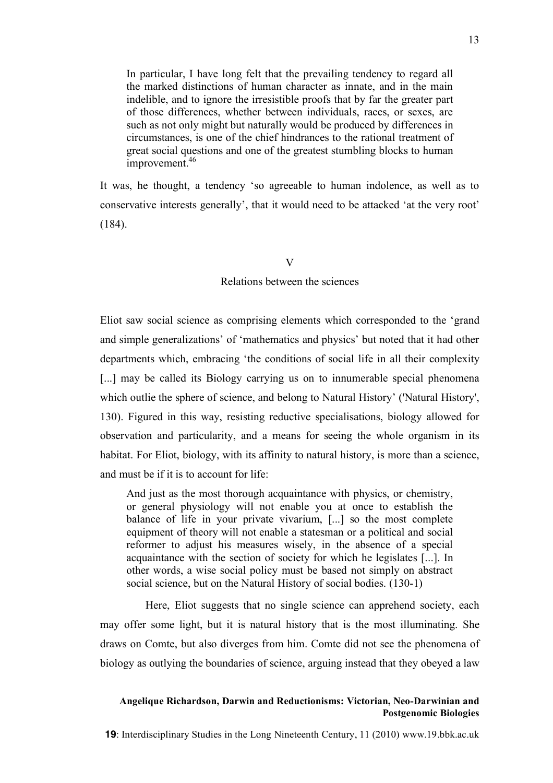In particular, I have long felt that the prevailing tendency to regard all the marked distinctions of human character as innate, and in the main indelible, and to ignore the irresistible proofs that by far the greater part of those differences, whether between individuals, races, or sexes, are such as not only might but naturally would be produced by differences in circumstances, is one of the chief hindrances to the rational treatment of great social questions and one of the greatest stumbling blocks to human improvement. 46

It was, he thought, a tendency 'so agreeable to human indolence, as well as to conservative interests generally', that it would need to be attacked 'at the very root' (184).

### V

### Relations between the sciences

Eliot saw social science as comprising elements which corresponded to the 'grand and simple generalizations' of 'mathematics and physics' but noted that it had other departments which, embracing 'the conditions of social life in all their complexity [...] may be called its Biology carrying us on to innumerable special phenomena which outlie the sphere of science, and belong to Natural History' ('Natural History', 130). Figured in this way, resisting reductive specialisations, biology allowed for observation and particularity, and a means for seeing the whole organism in its habitat. For Eliot, biology, with its affinity to natural history, is more than a science, and must be if it is to account for life:

And just as the most thorough acquaintance with physics, or chemistry, or general physiology will not enable you at once to establish the balance of life in your private vivarium, [...] so the most complete equipment of theory will not enable a statesman or a political and social reformer to adjust his measures wisely, in the absence of a special acquaintance with the section of society for which he legislates [...]. In other words, a wise social policy must be based not simply on abstract social science, but on the Natural History of social bodies. (130-1)

Here, Eliot suggests that no single science can apprehend society, each may offer some light, but it is natural history that is the most illuminating. She draws on Comte, but also diverges from him. Comte did not see the phenomena of biology as outlying the boundaries of science, arguing instead that they obeyed a law

# **Angelique Richardson, Darwin and Reductionisms: Victorian, Neo-Darwinian and Postgenomic Biologies**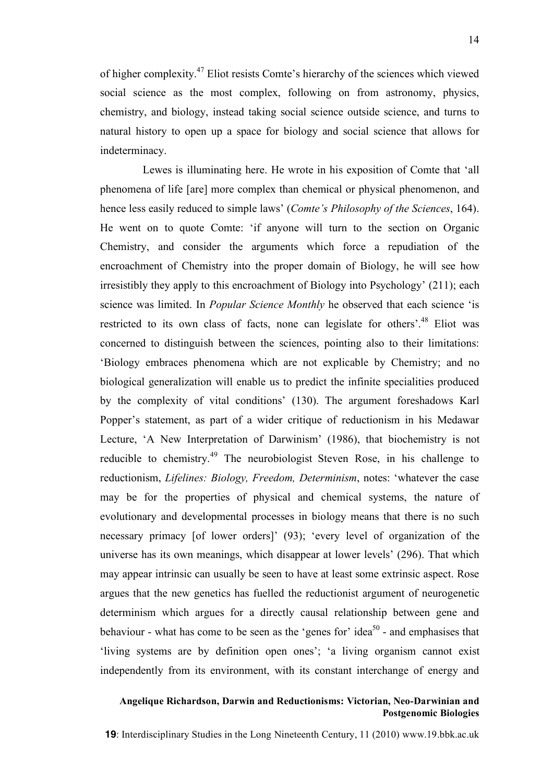of higher complexity.<sup>47</sup> Eliot resists Comte's hierarchy of the sciences which viewed social science as the most complex, following on from astronomy, physics, chemistry, and biology, instead taking social science outside science, and turns to natural history to open up a space for biology and social science that allows for indeterminacy.

Lewes is illuminating here. He wrote in his exposition of Comte that 'all phenomena of life [are] more complex than chemical or physical phenomenon, and hence less easily reduced to simple laws' (*Comte's Philosophy of the Sciences*, 164). He went on to quote Comte: 'if anyone will turn to the section on Organic Chemistry, and consider the arguments which force a repudiation of the encroachment of Chemistry into the proper domain of Biology, he will see how irresistibly they apply to this encroachment of Biology into Psychology' (211); each science was limited. In *Popular Science Monthly* he observed that each science 'is restricted to its own class of facts, none can legislate for others'.<sup>48</sup> Eliot was concerned to distinguish between the sciences, pointing also to their limitations: 'Biology embraces phenomena which are not explicable by Chemistry; and no biological generalization will enable us to predict the infinite specialities produced by the complexity of vital conditions' (130). The argument foreshadows Karl Popper's statement, as part of a wider critique of reductionism in his Medawar Lecture, 'A New Interpretation of Darwinism' (1986), that biochemistry is not reducible to chemistry.<sup>49</sup> The neurobiologist Steven Rose, in his challenge to reductionism, *Lifelines: Biology, Freedom, Determinism*, notes: 'whatever the case may be for the properties of physical and chemical systems, the nature of evolutionary and developmental processes in biology means that there is no such necessary primacy [of lower orders]' (93); 'every level of organization of the universe has its own meanings, which disappear at lower levels' (296). That which may appear intrinsic can usually be seen to have at least some extrinsic aspect. Rose argues that the new genetics has fuelled the reductionist argument of neurogenetic determinism which argues for a directly causal relationship between gene and behaviour - what has come to be seen as the 'genes for' idea<sup>50</sup> - and emphasises that 'living systems are by definition open ones'; 'a living organism cannot exist independently from its environment, with its constant interchange of energy and

# **Angelique Richardson, Darwin and Reductionisms: Victorian, Neo-Darwinian and Postgenomic Biologies**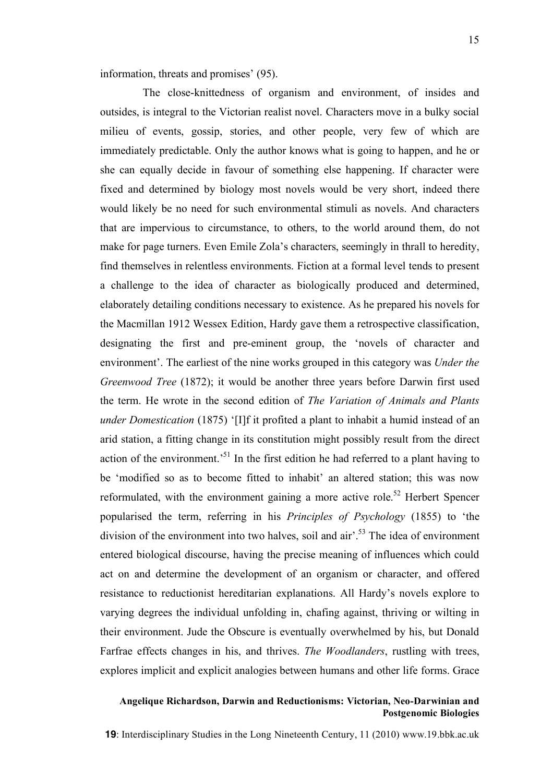information, threats and promises' (95).

The close-knittedness of organism and environment, of insides and outsides, is integral to the Victorian realist novel. Characters move in a bulky social milieu of events, gossip, stories, and other people, very few of which are immediately predictable. Only the author knows what is going to happen, and he or she can equally decide in favour of something else happening. If character were fixed and determined by biology most novels would be very short, indeed there would likely be no need for such environmental stimuli as novels. And characters that are impervious to circumstance, to others, to the world around them, do not make for page turners. Even Emile Zola's characters, seemingly in thrall to heredity, find themselves in relentless environments. Fiction at a formal level tends to present a challenge to the idea of character as biologically produced and determined, elaborately detailing conditions necessary to existence. As he prepared his novels for the Macmillan 1912 Wessex Edition, Hardy gave them a retrospective classification, designating the first and pre-eminent group, the 'novels of character and environment'. The earliest of the nine works grouped in this category was *Under the Greenwood Tree* (1872); it would be another three years before Darwin first used the term. He wrote in the second edition of *The Variation of Animals and Plants under Domestication* (1875) '[I]f it profited a plant to inhabit a humid instead of an arid station, a fitting change in its constitution might possibly result from the direct action of the environment.<sup>51</sup> In the first edition he had referred to a plant having to be 'modified so as to become fitted to inhabit' an altered station; this was now reformulated, with the environment gaining a more active role.<sup>52</sup> Herbert Spencer popularised the term, referring in his *Principles of Psychology* (1855) to 'the division of the environment into two halves, soil and air'.<sup>53</sup> The idea of environment entered biological discourse, having the precise meaning of influences which could act on and determine the development of an organism or character, and offered resistance to reductionist hereditarian explanations. All Hardy's novels explore to varying degrees the individual unfolding in, chafing against, thriving or wilting in their environment. Jude the Obscure is eventually overwhelmed by his, but Donald Farfrae effects changes in his, and thrives. *The Woodlanders*, rustling with trees, explores implicit and explicit analogies between humans and other life forms. Grace

# **Angelique Richardson, Darwin and Reductionisms: Victorian, Neo-Darwinian and Postgenomic Biologies**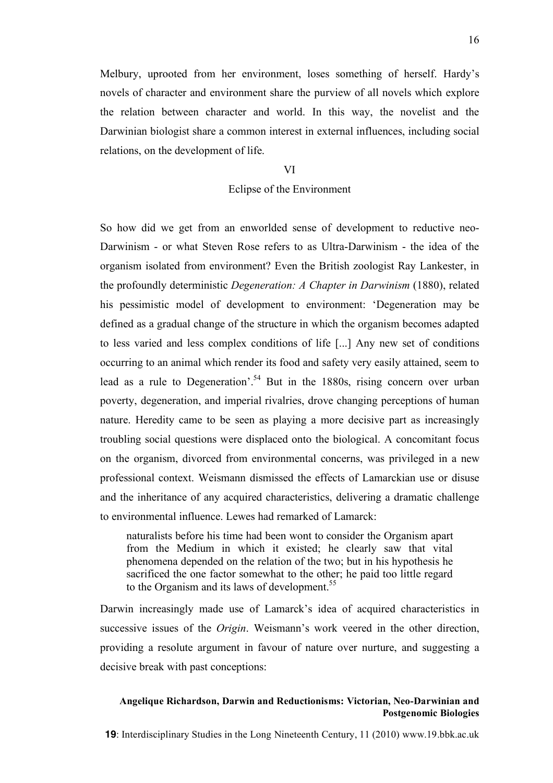Melbury, uprooted from her environment, loses something of herself. Hardy's novels of character and environment share the purview of all novels which explore the relation between character and world. In this way, the novelist and the Darwinian biologist share a common interest in external influences, including social relations, on the development of life.

#### VI

### Eclipse of the Environment

So how did we get from an enworlded sense of development to reductive neo-Darwinism - or what Steven Rose refers to as Ultra-Darwinism - the idea of the organism isolated from environment? Even the British zoologist Ray Lankester, in the profoundly deterministic *Degeneration: A Chapter in Darwinism* (1880), related his pessimistic model of development to environment: 'Degeneration may be defined as a gradual change of the structure in which the organism becomes adapted to less varied and less complex conditions of life [...] Any new set of conditions occurring to an animal which render its food and safety very easily attained, seem to lead as a rule to Degeneration'.<sup>54</sup> But in the 1880s, rising concern over urban poverty, degeneration, and imperial rivalries, drove changing perceptions of human nature. Heredity came to be seen as playing a more decisive part as increasingly troubling social questions were displaced onto the biological. A concomitant focus on the organism, divorced from environmental concerns, was privileged in a new professional context. Weismann dismissed the effects of Lamarckian use or disuse and the inheritance of any acquired characteristics, delivering a dramatic challenge to environmental influence. Lewes had remarked of Lamarck:

naturalists before his time had been wont to consider the Organism apart from the Medium in which it existed; he clearly saw that vital phenomena depended on the relation of the two; but in his hypothesis he sacrificed the one factor somewhat to the other; he paid too little regard to the Organism and its laws of development.<sup>55</sup>

Darwin increasingly made use of Lamarck's idea of acquired characteristics in successive issues of the *Origin*. Weismann's work veered in the other direction, providing a resolute argument in favour of nature over nurture, and suggesting a decisive break with past conceptions:

# **Angelique Richardson, Darwin and Reductionisms: Victorian, Neo-Darwinian and Postgenomic Biologies**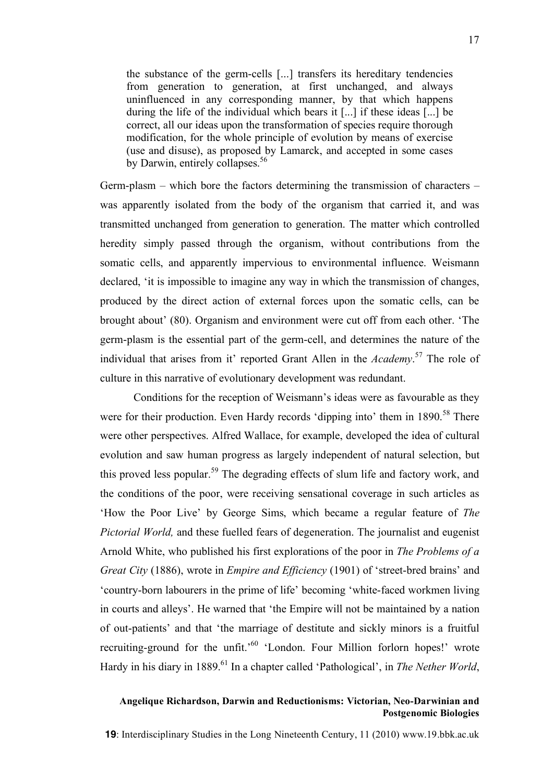the substance of the germ-cells [...] transfers its hereditary tendencies from generation to generation, at first unchanged, and always uninfluenced in any corresponding manner, by that which happens during the life of the individual which bears it [...] if these ideas [...] be correct, all our ideas upon the transformation of species require thorough modification, for the whole principle of evolution by means of exercise (use and disuse), as proposed by Lamarck, and accepted in some cases by Darwin, entirely collapses. 56

Germ-plasm – which bore the factors determining the transmission of characters – was apparently isolated from the body of the organism that carried it, and was transmitted unchanged from generation to generation. The matter which controlled heredity simply passed through the organism, without contributions from the somatic cells, and apparently impervious to environmental influence. Weismann declared, 'it is impossible to imagine any way in which the transmission of changes, produced by the direct action of external forces upon the somatic cells, can be brought about' (80). Organism and environment were cut off from each other. 'The germ-plasm is the essential part of the germ-cell, and determines the nature of the individual that arises from it' reported Grant Allen in the *Academy*. <sup>57</sup> The role of culture in this narrative of evolutionary development was redundant.

Conditions for the reception of Weismann's ideas were as favourable as they were for their production. Even Hardy records 'dipping into' them in  $1890$ <sup>58</sup>. There were other perspectives. Alfred Wallace, for example, developed the idea of cultural evolution and saw human progress as largely independent of natural selection, but this proved less popular.<sup>59</sup> The degrading effects of slum life and factory work, and the conditions of the poor, were receiving sensational coverage in such articles as 'How the Poor Live' by George Sims, which became a regular feature of *The Pictorial World,* and these fuelled fears of degeneration. The journalist and eugenist Arnold White, who published his first explorations of the poor in *The Problems of a Great City* (1886), wrote in *Empire and Efficiency* (1901) of 'street-bred brains' and 'country-born labourers in the prime of life' becoming 'white-faced workmen living in courts and alleys'. He warned that 'the Empire will not be maintained by a nation of out-patients' and that 'the marriage of destitute and sickly minors is a fruitful recruiting-ground for the unfit.<sup>50</sup> 'London. Four Million forlorn hopes!' wrote Hardy in his diary in 1889.<sup>61</sup> In a chapter called 'Pathological', in *The Nether World*,

# **Angelique Richardson, Darwin and Reductionisms: Victorian, Neo-Darwinian and Postgenomic Biologies**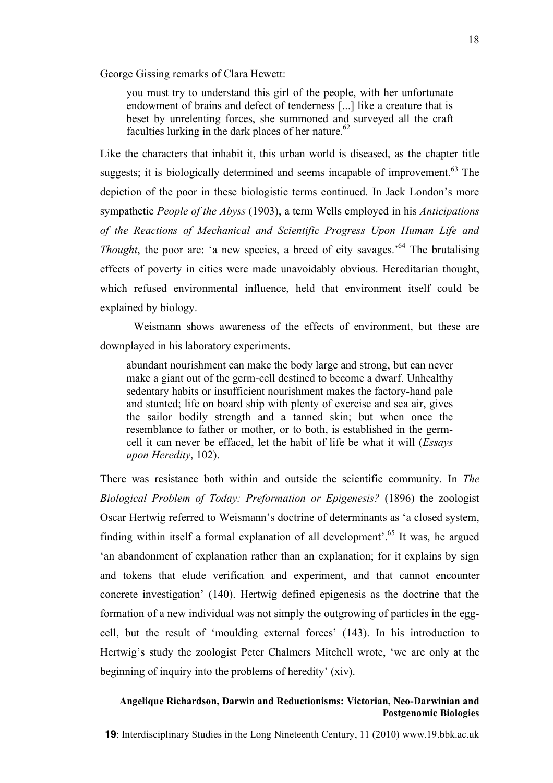George Gissing remarks of Clara Hewett:

you must try to understand this girl of the people, with her unfortunate endowment of brains and defect of tenderness [...] like a creature that is beset by unrelenting forces, she summoned and surveyed all the craft faculties lurking in the dark places of her nature.<sup>62</sup>

Like the characters that inhabit it, this urban world is diseased, as the chapter title suggests; it is biologically determined and seems incapable of improvement.<sup>63</sup> The depiction of the poor in these biologistic terms continued. In Jack London's more sympathetic *People of the Abyss* (1903), a term Wells employed in his *Anticipations of the Reactions of Mechanical and Scientific Progress Upon Human Life and Thought*, the poor are: 'a new species, a breed of city savages.<sup>,64</sup> The brutalising effects of poverty in cities were made unavoidably obvious. Hereditarian thought, which refused environmental influence, held that environment itself could be explained by biology.

Weismann shows awareness of the effects of environment, but these are downplayed in his laboratory experiments.

abundant nourishment can make the body large and strong, but can never make a giant out of the germ-cell destined to become a dwarf. Unhealthy sedentary habits or insufficient nourishment makes the factory-hand pale and stunted; life on board ship with plenty of exercise and sea air, gives the sailor bodily strength and a tanned skin; but when once the resemblance to father or mother, or to both, is established in the germcell it can never be effaced, let the habit of life be what it will (*Essays upon Heredity*, 102).

There was resistance both within and outside the scientific community. In *The Biological Problem of Today: Preformation or Epigenesis?* (1896) the zoologist Oscar Hertwig referred to Weismann's doctrine of determinants as 'a closed system, finding within itself a formal explanation of all development'.<sup>65</sup> It was, he argued 'an abandonment of explanation rather than an explanation; for it explains by sign and tokens that elude verification and experiment, and that cannot encounter concrete investigation' (140). Hertwig defined epigenesis as the doctrine that the formation of a new individual was not simply the outgrowing of particles in the eggcell, but the result of 'moulding external forces' (143). In his introduction to Hertwig's study the zoologist Peter Chalmers Mitchell wrote, 'we are only at the beginning of inquiry into the problems of heredity' (xiv).

# **Angelique Richardson, Darwin and Reductionisms: Victorian, Neo-Darwinian and Postgenomic Biologies**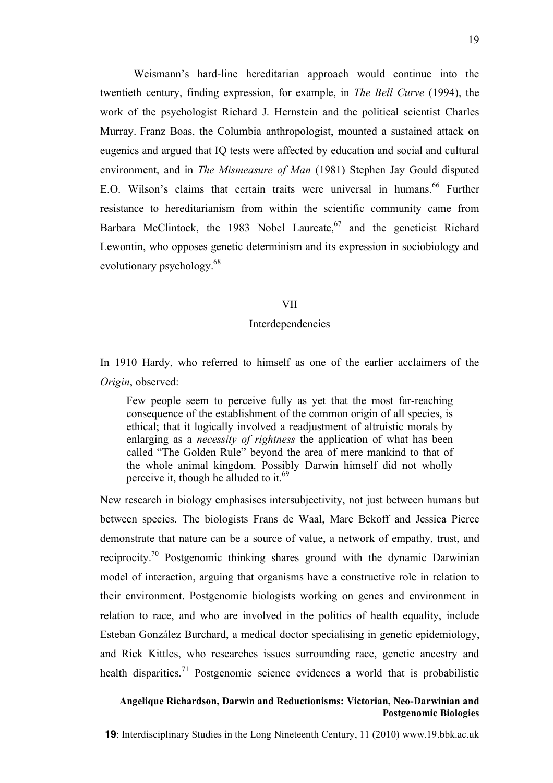Weismann's hard-line hereditarian approach would continue into the twentieth century, finding expression, for example, in *The Bell Curve* (1994), the work of the psychologist Richard J. Hernstein and the political scientist Charles Murray. Franz Boas, the Columbia anthropologist, mounted a sustained attack on eugenics and argued that IQ tests were affected by education and social and cultural environment, and in *The Mismeasure of Man* (1981) Stephen Jay Gould disputed E.O. Wilson's claims that certain traits were universal in humans. <sup>66</sup> Further resistance to hereditarianism from within the scientific community came from Barbara McClintock, the 1983 Nobel Laureate,<sup>67</sup> and the geneticist Richard Lewontin, who opposes genetic determinism and its expression in sociobiology and evolutionary psychology.<sup>68</sup>

### VII

### Interdependencies

In 1910 Hardy, who referred to himself as one of the earlier acclaimers of the *Origin*, observed:

Few people seem to perceive fully as yet that the most far-reaching consequence of the establishment of the common origin of all species, is ethical; that it logically involved a readjustment of altruistic morals by enlarging as a *necessity of rightness* the application of what has been called "The Golden Rule" beyond the area of mere mankind to that of the whole animal kingdom. Possibly Darwin himself did not wholly perceive it, though he alluded to it.<sup>69</sup>

New research in biology emphasises intersubjectivity, not just between humans but between species. The biologists Frans de Waal, Marc Bekoff and Jessica Pierce demonstrate that nature can be a source of value, a network of empathy, trust, and reciprocity.<sup>70</sup> Postgenomic thinking shares ground with the dynamic Darwinian model of interaction, arguing that organisms have a constructive role in relation to their environment. Postgenomic biologists working on genes and environment in relation to race, and who are involved in the politics of health equality, include Esteban González Burchard, a medical doctor specialising in genetic epidemiology, and Rick Kittles, who researches issues surrounding race, genetic ancestry and health disparities.<sup>71</sup> Postgenomic science evidences a world that is probabilistic

# **Angelique Richardson, Darwin and Reductionisms: Victorian, Neo-Darwinian and Postgenomic Biologies**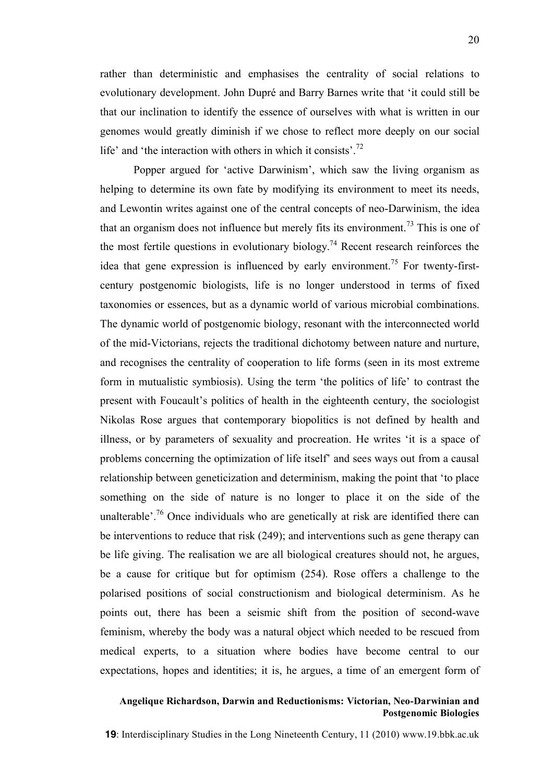rather than deterministic and emphasises the centrality of social relations to evolutionary development. John Dupré and Barry Barnes write that 'it could still be that our inclination to identify the essence of ourselves with what is written in our genomes would greatly diminish if we chose to reflect more deeply on our social life' and 'the interaction with others in which it consists'.<sup>72</sup>

Popper argued for 'active Darwinism', which saw the living organism as helping to determine its own fate by modifying its environment to meet its needs, and Lewontin writes against one of the central concepts of neo-Darwinism, the idea that an organism does not influence but merely fits its environment.<sup>73</sup> This is one of the most fertile questions in evolutionary biology.<sup>74</sup> Recent research reinforces the idea that gene expression is influenced by early environment.<sup>75</sup> For twenty-firstcentury postgenomic biologists, life is no longer understood in terms of fixed taxonomies or essences, but as a dynamic world of various microbial combinations. The dynamic world of postgenomic biology, resonant with the interconnected world of the mid-Victorians, rejects the traditional dichotomy between nature and nurture, and recognises the centrality of cooperation to life forms (seen in its most extreme form in mutualistic symbiosis). Using the term 'the politics of life' to contrast the present with Foucault's politics of health in the eighteenth century, the sociologist Nikolas Rose argues that contemporary biopolitics is not defined by health and illness, or by parameters of sexuality and procreation. He writes 'it is a space of problems concerning the optimization of life itself' and sees ways out from a causal relationship between geneticization and determinism, making the point that 'to place something on the side of nature is no longer to place it on the side of the unalterable'.<sup>76</sup> Once individuals who are genetically at risk are identified there can be interventions to reduce that risk (249); and interventions such as gene therapy can be life giving. The realisation we are all biological creatures should not, he argues, be a cause for critique but for optimism (254). Rose offers a challenge to the polarised positions of social constructionism and biological determinism. As he points out, there has been a seismic shift from the position of second-wave feminism, whereby the body was a natural object which needed to be rescued from medical experts, to a situation where bodies have become central to our expectations, hopes and identities; it is, he argues, a time of an emergent form of

# **Angelique Richardson, Darwin and Reductionisms: Victorian, Neo-Darwinian and Postgenomic Biologies**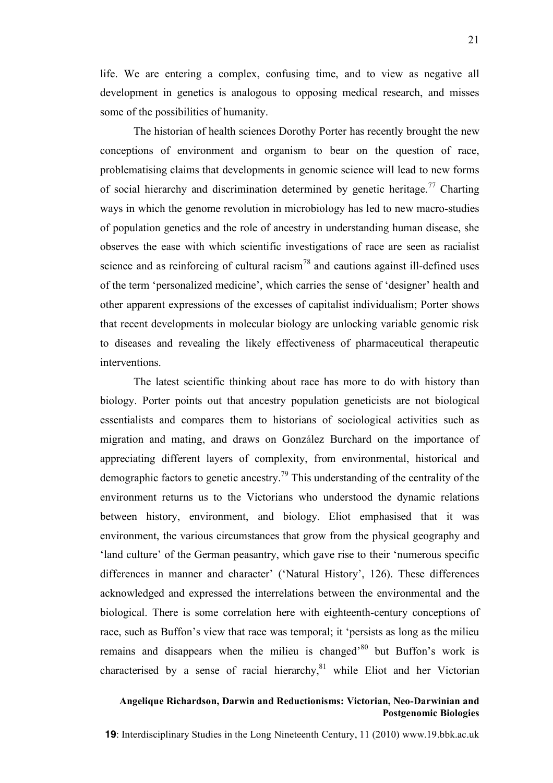The historian of health sciences Dorothy Porter has recently brought the new conceptions of environment and organism to bear on the question of race, problematising claims that developments in genomic science will lead to new forms of social hierarchy and discrimination determined by genetic heritage.<sup>77</sup> Charting ways in which the genome revolution in microbiology has led to new macro-studies of population genetics and the role of ancestry in understanding human disease, she observes the ease with which scientific investigations of race are seen as racialist science and as reinforcing of cultural racism<sup>78</sup> and cautions against ill-defined uses of the term 'personalized medicine', which carries the sense of 'designer' health and other apparent expressions of the excesses of capitalist individualism; Porter shows that recent developments in molecular biology are unlocking variable genomic risk to diseases and revealing the likely effectiveness of pharmaceutical therapeutic interventions.

The latest scientific thinking about race has more to do with history than biology. Porter points out that ancestry population geneticists are not biological essentialists and compares them to historians of sociological activities such as migration and mating, and draws on González Burchard on the importance of appreciating different layers of complexity, from environmental, historical and demographic factors to genetic ancestry.<sup>79</sup> This understanding of the centrality of the environment returns us to the Victorians who understood the dynamic relations between history, environment, and biology. Eliot emphasised that it was environment, the various circumstances that grow from the physical geography and 'land culture' of the German peasantry, which gave rise to their 'numerous specific differences in manner and character' ('Natural History', 126). These differences acknowledged and expressed the interrelations between the environmental and the biological. There is some correlation here with eighteenth-century conceptions of race, such as Buffon's view that race was temporal; it 'persists as long as the milieu remains and disappears when the milieu is changed<sup> $80$ </sup> but Buffon's work is characterised by a sense of racial hierarchy, $81$  while Eliot and her Victorian

# **Angelique Richardson, Darwin and Reductionisms: Victorian, Neo-Darwinian and Postgenomic Biologies**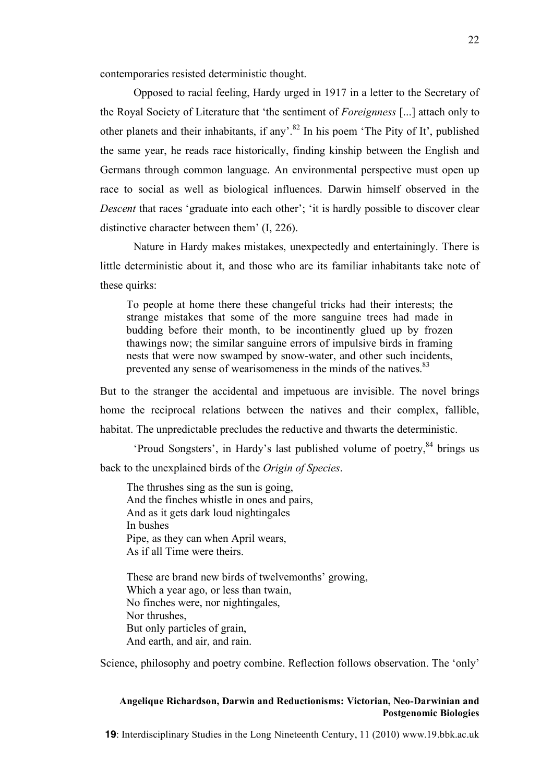contemporaries resisted deterministic thought.

Opposed to racial feeling, Hardy urged in 1917 in a letter to the Secretary of the Royal Society of Literature that 'the sentiment of *Foreignness* [...] attach only to other planets and their inhabitants, if any'.<sup>82</sup> In his poem 'The Pity of It', published the same year, he reads race historically, finding kinship between the English and Germans through common language. An environmental perspective must open up race to social as well as biological influences. Darwin himself observed in the *Descent* that races 'graduate into each other'; 'it is hardly possible to discover clear distinctive character between them' (I, 226).

Nature in Hardy makes mistakes, unexpectedly and entertainingly. There is little deterministic about it, and those who are its familiar inhabitants take note of these quirks:

To people at home there these changeful tricks had their interests; the strange mistakes that some of the more sanguine trees had made in budding before their month, to be incontinently glued up by frozen thawings now; the similar sanguine errors of impulsive birds in framing nests that were now swamped by snow-water, and other such incidents, prevented any sense of wearisomeness in the minds of the natives.<sup>83</sup>

But to the stranger the accidental and impetuous are invisible. The novel brings home the reciprocal relations between the natives and their complex, fallible, habitat. The unpredictable precludes the reductive and thwarts the deterministic.

'Proud Songsters', in Hardy's last published volume of poetry,<sup>84</sup> brings us back to the unexplained birds of the *Origin of Species*.

The thrushes sing as the sun is going, And the finches whistle in ones and pairs, And as it gets dark loud nightingales In bushes Pipe, as they can when April wears, As if all Time were theirs.

These are brand new birds of twelvemonths' growing, Which a year ago, or less than twain, No finches were, nor nightingales, Nor thrushes, But only particles of grain, And earth, and air, and rain.

Science, philosophy and poetry combine. Reflection follows observation. The 'only'

# **Angelique Richardson, Darwin and Reductionisms: Victorian, Neo-Darwinian and Postgenomic Biologies**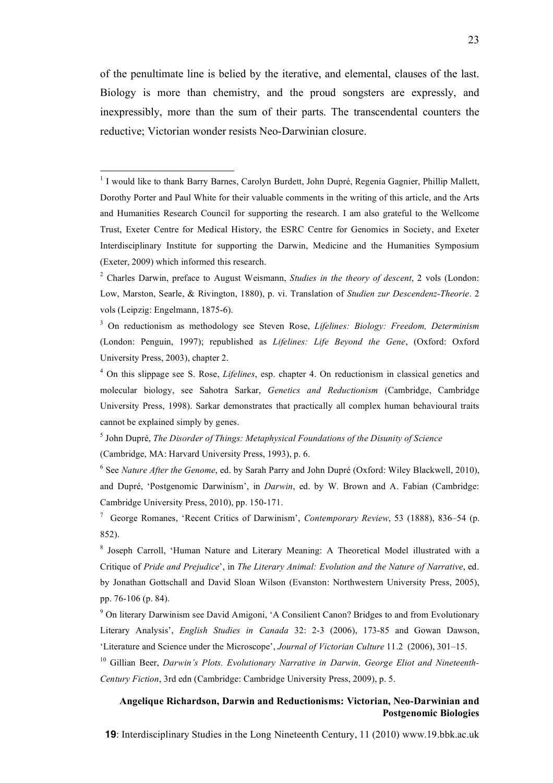of the penultimate line is belied by the iterative, and elemental, clauses of the last. Biology is more than chemistry, and the proud songsters are expressly, and inexpressibly, more than the sum of their parts. The transcendental counters the reductive; Victorian wonder resists Neo-Darwinian closure.

<sup>5</sup> John Dupré, *The Disorder of Things: Metaphysical Foundations of the Disunity of Science* (Cambridge, MA: Harvard University Press, 1993), p. 6.

<sup>6</sup> See *Nature After the Genome*, ed. by Sarah Parry and John Dupré (Oxford: Wiley Blackwell, 2010), and Dupré, 'Postgenomic Darwinism', in *Darwin*, ed. by W. Brown and A. Fabian (Cambridge: Cambridge University Press, 2010), pp. 150-171.

<sup>7</sup> George Romanes, 'Recent Critics of Darwinism', *Contemporary Review*, 53 (1888), 836–54 (p. 852).

<sup>8</sup> Joseph Carroll, 'Human Nature and Literary Meaning: A Theoretical Model illustrated with a Critique of *Pride and Prejudice*', in *The Literary Animal: Evolution and the Nature of Narrative*, ed. by Jonathan Gottschall and David Sloan Wilson (Evanston: Northwestern University Press, 2005), pp. 76-106 (p. 84).

<sup>9</sup> On literary Darwinism see David Amigoni, 'A Consilient Canon? Bridges to and from Evolutionary Literary Analysis', *English Studies in Canada* 32: 2-3 (2006), 173-85 and Gowan Dawson, 'Literature and Science under the Microscope', *Journal of Victorian Culture* 11.2 (2006), 301–15.

<sup>10</sup> Gillian Beer, *Darwin's Plots. Evolutionary Narrative in Darwin, George Eliot and Nineteenth-Century Fiction*, 3rd edn (Cambridge: Cambridge University Press, 2009), p. 5.

# **Angelique Richardson, Darwin and Reductionisms: Victorian, Neo-Darwinian and Postgenomic Biologies**

<sup>&</sup>lt;sup>1</sup> I would like to thank Barry Barnes, Carolyn Burdett, John Dupré, Regenia Gagnier, Phillip Mallett, Dorothy Porter and Paul White for their valuable comments in the writing of this article, and the Arts and Humanities Research Council for supporting the research. I am also grateful to the Wellcome Trust, Exeter Centre for Medical History, the ESRC Centre for Genomics in Society, and Exeter Interdisciplinary Institute for supporting the Darwin, Medicine and the Humanities Symposium (Exeter, 2009) which informed this research.

<sup>2</sup> Charles Darwin, preface to August Weismann, *Studies in the theory of descent*, 2 vols (London: Low, Marston, Searle, & Rivington, 1880), p. vi. Translation of *Studien zur Descendenz-Theorie*. 2 vols (Leipzig: Engelmann, 1875-6).

<sup>3</sup> On reductionism as methodology see Steven Rose, *Lifelines: Biology: Freedom, Determinism* (London: Penguin, 1997); republished as *Lifelines: Life Beyond the Gene*, (Oxford: Oxford University Press, 2003), chapter 2.

<sup>4</sup> On this slippage see S. Rose, *Lifelines*, esp. chapter 4. On reductionism in classical genetics and molecular biology, see Sahotra Sarkar, *Genetics and Reductionism* (Cambridge, Cambridge University Press, 1998). Sarkar demonstrates that practically all complex human behavioural traits cannot be explained simply by genes.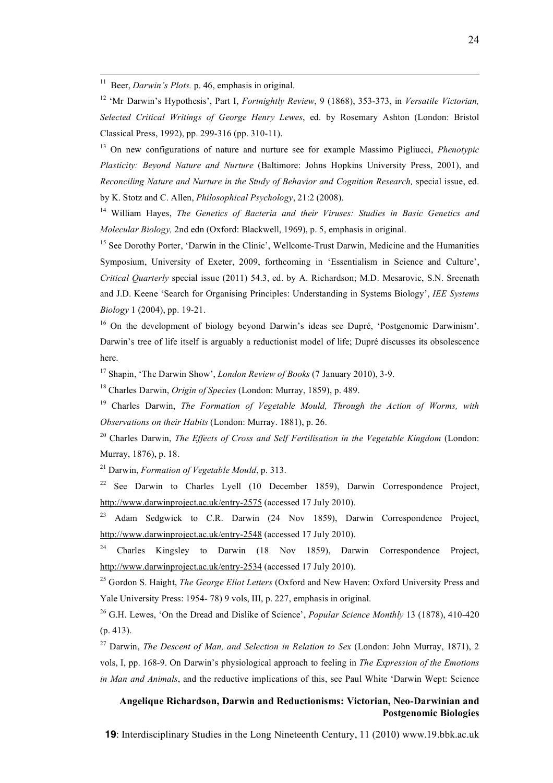11 Beer, *Darwin's Plots.* p. 46, emphasis in original.

<sup>12</sup> 'Mr Darwin's Hypothesis', Part I, *Fortnightly Review*, 9 (1868), 353-373, in *Versatile Victorian, Selected Critical Writings of George Henry Lewes*, ed. by Rosemary Ashton (London: Bristol Classical Press, 1992), pp. 299-316 (pp. 310-11).

<sup>13</sup> On new configurations of nature and nurture see for example Massimo Pigliucci, *Phenotypic Plasticity: Beyond Nature and Nurture* (Baltimore: Johns Hopkins University Press, 2001), and *Reconciling Nature and Nurture in the Study of Behavior and Cognition Research,* special issue, ed. by K. Stotz and C. Allen, *Philosophical Psychology*, 21:2 (2008).

<sup>14</sup> William Hayes, *The Genetics of Bacteria and their Viruses: Studies in Basic Genetics and Molecular Biology,* 2nd edn (Oxford: Blackwell, 1969), p. 5, emphasis in original.

<sup>15</sup> See Dorothy Porter, 'Darwin in the Clinic', Wellcome-Trust Darwin, Medicine and the Humanities Symposium, University of Exeter, 2009, forthcoming in 'Essentialism in Science and Culture', *Critical Quarterly* special issue (2011) 54.3, ed. by A. Richardson; M.D. Mesarovic, S.N. Sreenath and J.D. Keene 'Search for Organising Principles: Understanding in Systems Biology', *IEE Systems Biology* 1 (2004), pp. 19-21.

<sup>16</sup> On the development of biology beyond Darwin's ideas see Dupré, 'Postgenomic Darwinism'. Darwin's tree of life itself is arguably a reductionist model of life; Dupré discusses its obsolescence here.

<sup>17</sup> Shapin, 'The Darwin Show', *London Review of Books* (7 January 2010), 3-9.

<sup>18</sup> Charles Darwin, *Origin of Species* (London: Murray, 1859), p. 489.

<sup>19</sup> Charles Darwin, *The Formation of Vegetable Mould, Through the Action of Worms, with Observations on their Habits* (London: Murray. 1881), p. 26.

<sup>20</sup> Charles Darwin, *The Effects of Cross and Self Fertilisation in the Vegetable Kingdom* (London: Murray, 1876), p. 18.

<sup>21</sup> Darwin, *Formation of Vegetable Mould*, p. 313.

<sup>22</sup> See Darwin to Charles Lyell (10 December 1859), Darwin Correspondence Project, http://www.darwinproject.ac.uk/entry-2575 (accessed 17 July 2010).

<sup>23</sup> Adam Sedgwick to C.R. Darwin (24 Nov 1859), Darwin Correspondence Project, http://www.darwinproject.ac.uk/entry-2548 (accessed 17 July 2010).

<sup>24</sup> Charles Kingsley to Darwin (18 Nov 1859), Darwin Correspondence Project, http://www.darwinproject.ac.uk/entry-2534 (accessed 17 July 2010).

<sup>25</sup> Gordon S. Haight, *The George Eliot Letters* (Oxford and New Haven: Oxford University Press and Yale University Press: 1954- 78) 9 vols, III, p. 227, emphasis in original.

<sup>26</sup> G.H. Lewes, 'On the Dread and Dislike of Science', *Popular Science Monthly* 13 (1878), 410-420 (p. 413).

<sup>27</sup> Darwin, *The Descent of Man, and Selection in Relation to Sex* (London: John Murray, 1871), 2 vols, I, pp. 168-9. On Darwin's physiological approach to feeling in *The Expression of the Emotions in Man and Animals*, and the reductive implications of this, see Paul White 'Darwin Wept: Science

# **Angelique Richardson, Darwin and Reductionisms: Victorian, Neo-Darwinian and Postgenomic Biologies**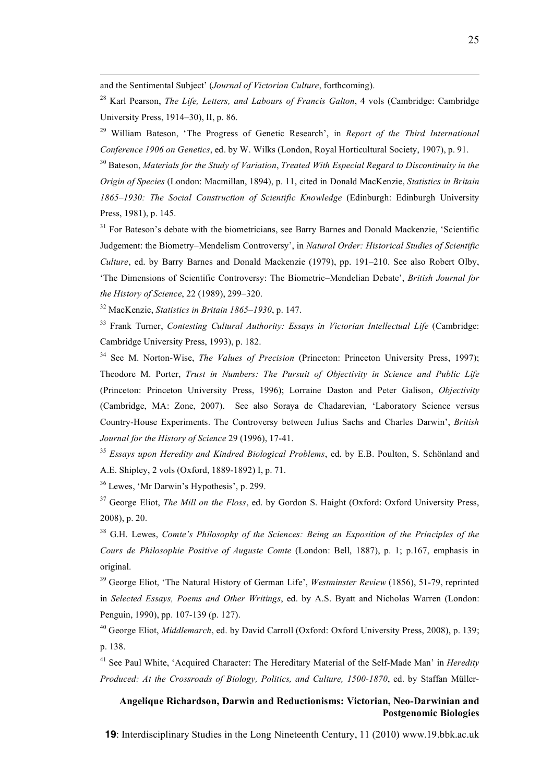and the Sentimental Subject' (*Journal of Victorian Culture*, forthcoming).

<sup>28</sup> Karl Pearson, *The Life, Letters, and Labours of Francis Galton*, 4 vols (Cambridge: Cambridge University Press, 1914–30), II, p. 86.

<sup>29</sup> William Bateson, 'The Progress of Genetic Research', in *Report of the Third International Conference 1906 on Genetics*, ed. by W. Wilks (London, Royal Horticultural Society, 1907), p. 91.

<sup>30</sup> Bateson, *Materials for the Study of Variation*, *Treated With Especial Regard to Discontinuity in the Origin of Species* (London: Macmillan, 1894), p. 11, cited in Donald MacKenzie, *Statistics in Britain 1865–1930: The Social Construction of Scientific Knowledge* (Edinburgh: Edinburgh University Press, 1981), p. 145.

<sup>31</sup> For Bateson's debate with the biometricians, see Barry Barnes and Donald Mackenzie, 'Scientific Judgement: the Biometry–Mendelism Controversy', in *Natural Order: Historical Studies of Scientific Culture*, ed. by Barry Barnes and Donald Mackenzie (1979), pp. 191–210. See also Robert Olby, 'The Dimensions of Scientific Controversy: The Biometric–Mendelian Debate', *British Journal for the History of Science*, 22 (1989), 299–320.

<sup>32</sup> MacKenzie, *Statistics in Britain 1865–1930*, p. 147.

<sup>33</sup> Frank Turner, *Contesting Cultural Authority: Essays in Victorian Intellectual Life* (Cambridge: Cambridge University Press, 1993), p. 182.

<sup>34</sup> See M. Norton-Wise, *The Values of Precision* (Princeton: Princeton University Press, 1997); Theodore M. Porter, *Trust in Numbers: The Pursuit of Objectivity in Science and Public Life* (Princeton: Princeton University Press, 1996); Lorraine Daston and Peter Galison, *Objectivity* (Cambridge, MA: Zone, 2007). See also Soraya de Chadarevian*,* 'Laboratory Science versus Country-House Experiments. The Controversy between Julius Sachs and Charles Darwin', *British Journal for the History of Science* 29 (1996), 17-41.

<sup>35</sup> *Essays upon Heredity and Kindred Biological Problems*, ed. by E.B. Poulton, S. Schönland and A.E. Shipley, 2 vols (Oxford, 1889-1892) I, p. 71.

<sup>36</sup> Lewes, 'Mr Darwin's Hypothesis', p. 299.

<sup>37</sup> George Eliot, *The Mill on the Floss*, ed. by Gordon S. Haight (Oxford: Oxford University Press, 2008), p. 20.

<sup>38</sup> G.H. Lewes, *Comte's Philosophy of the Sciences: Being an Exposition of the Principles of the Cours de Philosophie Positive of Auguste Comte* (London: Bell, 1887), p. 1; p.167, emphasis in original.

<sup>39</sup> George Eliot, 'The Natural History of German Life', *Westminster Review* (1856), 51-79, reprinted in *Selected Essays, Poems and Other Writings*, ed. by A.S. Byatt and Nicholas Warren (London: Penguin, 1990), pp. 107-139 (p. 127).

<sup>40</sup> George Eliot, *Middlemarch*, ed. by David Carroll (Oxford: Oxford University Press, 2008), p. 139; p. 138.

<sup>41</sup> See Paul White, 'Acquired Character: The Hereditary Material of the Self-Made Man' in *Heredity Produced: At the Crossroads of Biology, Politics, and Culture, 1500-1870*, ed. by Staffan Müller-

# **Angelique Richardson, Darwin and Reductionisms: Victorian, Neo-Darwinian and Postgenomic Biologies**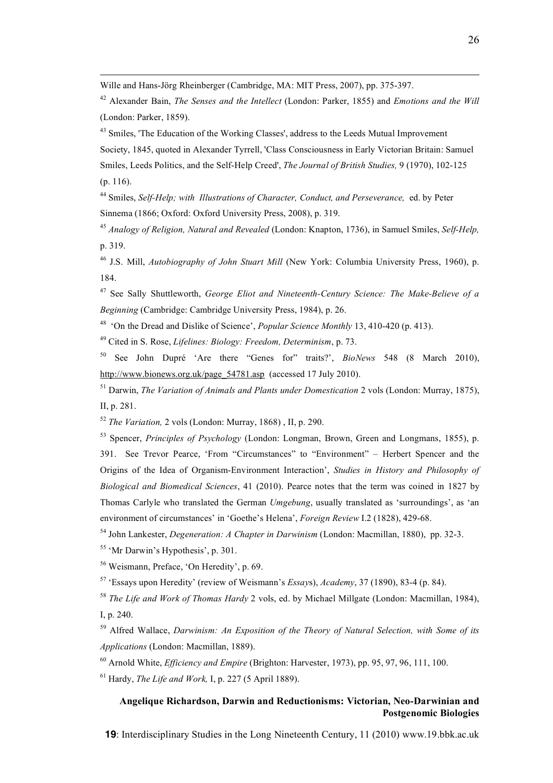Wille and Hans-Jörg Rheinberger (Cambridge, MA: MIT Press, 2007), pp. 375-397.

<sup>42</sup> Alexander Bain, *The Senses and the Intellect* (London: Parker, 1855) and *Emotions and the Will* (London: Parker, 1859).

<sup>43</sup> Smiles, 'The Education of the Working Classes', address to the Leeds Mutual Improvement Society, 1845, quoted in Alexander Tyrrell, 'Class Consciousness in Early Victorian Britain: Samuel Smiles, Leeds Politics, and the Self-Help Creed', *The Journal of British Studies,* 9 (1970), 102-125 (p. 116).

<sup>44</sup> Smiles, *Self-Help; with Illustrations of Character, Conduct, and Perseverance,* ed. by Peter Sinnema (1866; Oxford: Oxford University Press, 2008), p. 319.

<sup>45</sup> *Analogy of Religion, Natural and Revealed* (London: Knapton, 1736), in Samuel Smiles, *Self-Help,* p. 319.

<sup>46</sup> J.S. Mill, *Autobiography of John Stuart Mill* (New York: Columbia University Press, 1960), p. 184.

<sup>47</sup> See Sally Shuttleworth, *George Eliot and Nineteenth-Century Science: The Make-Believe of a Beginning* (Cambridge: Cambridge University Press, 1984), p. 26.

<sup>48</sup> 'On the Dread and Dislike of Science', *Popular Science Monthly* 13, 410-420 (p. 413).

<sup>49</sup> Cited in S. Rose, *Lifelines: Biology: Freedom, Determinism*, p. 73.

<sup>50</sup> See John Dupré 'Are there "Genes for" traits?', *BioNews* 548 (8 March 2010), http://www.bionews.org.uk/page\_54781.asp (accessed 17 July 2010).

<sup>51</sup> Darwin, *The Variation of Animals and Plants under Domestication* 2 vols (London: Murray, 1875), II, p. 281.

<sup>52</sup> *The Variation,* 2 vols (London: Murray, 1868) , II, p. 290.

<sup>53</sup> Spencer, *Principles of Psychology* (London: Longman, Brown, Green and Longmans, 1855), p. 391. See Trevor Pearce, 'From "Circumstances" to "Environment" – Herbert Spencer and the Origins of the Idea of Organism-Environment Interaction', *Studies in History and Philosophy of Biological and Biomedical Sciences*, 41 (2010). Pearce notes that the term was coined in 1827 by Thomas Carlyle who translated the German *Umgebung*, usually translated as 'surroundings', as 'an environment of circumstances' in 'Goethe's Helena', *Foreign Review* I.2 (1828), 429-68.

<sup>54</sup> John Lankester, *Degeneration: A Chapter in Darwinism* (London: Macmillan, 1880), pp. 32-3.

<sup>55</sup> 'Mr Darwin's Hypothesis', p. 301.

<sup>56</sup> Weismann, Preface, 'On Heredity', p. 69.

<sup>57</sup> 'Essays upon Heredity' (review of Weismann's *Essay*s), *Academy*, 37 (1890), 83-4 (p. 84).

<sup>58</sup> *The Life and Work of Thomas Hardy* 2 vols, ed. by Michael Millgate (London: Macmillan, 1984), I, p. 240.

<sup>59</sup> Alfred Wallace, *Darwinism: An Exposition of the Theory of Natural Selection, with Some of its Applications* (London: Macmillan, 1889).

<sup>60</sup> Arnold White, *Efficiency and Empire* (Brighton: Harvester, 1973), pp. 95, 97, 96, 111, 100.

<sup>61</sup> Hardy, *The Life and Work,* I, p. 227 (5 April 1889).

# **Angelique Richardson, Darwin and Reductionisms: Victorian, Neo-Darwinian and Postgenomic Biologies**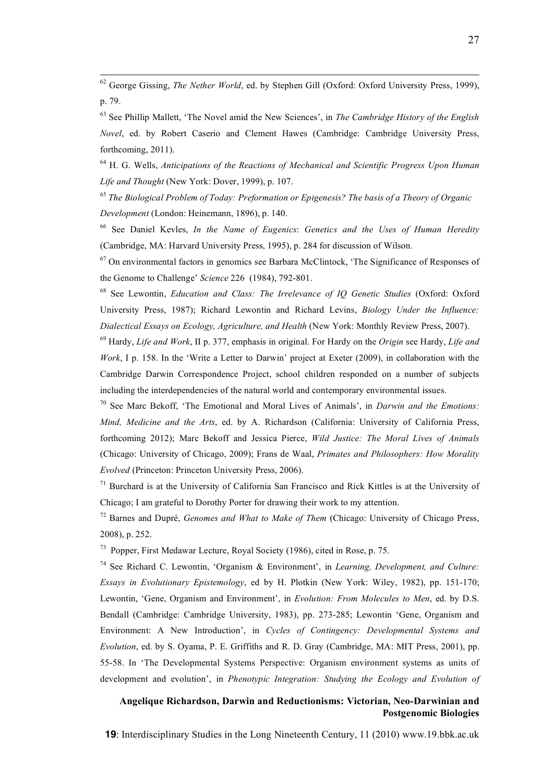62 George Gissing, *The Nether World*, ed. by Stephen Gill (Oxford: Oxford University Press, 1999), p. 79.

<sup>63</sup> See Phillip Mallett, 'The Novel amid the New Sciences', in *The Cambridge History of the English Novel*, ed. by Robert Caserio and Clement Hawes (Cambridge: Cambridge University Press, forthcoming, 2011).

<sup>64</sup> H. G. Wells, *Anticipations of the Reactions of Mechanical and Scientific Progress Upon Human Life and Thought* (New York: Dover, 1999), p. 107.

<sup>65</sup> *The Biological Problem of Today: Preformation or Epigenesis? The basis of a Theory of Organic Development* (London: Heinemann, 1896), p. 140.

<sup>66</sup> See Daniel Kevles, *In the Name of Eugenics*: *Genetics and the Uses of Human Heredity* (Cambridge, MA: Harvard University Press, 1995), p. 284 for discussion of Wilson.

 $67$  On environmental factors in genomics see Barbara McClintock, 'The Significance of Responses of the Genome to Challenge' *Science* 226 (1984), 792-801.

<sup>68</sup> See Lewontin, *Education and Class: The Irrelevance of IQ Genetic Studies* (Oxford: Oxford University Press, 1987); Richard Lewontin and Richard Levins, *Biology Under the Influence: Dialectical Essays on Ecology, Agriculture, and Health* (New York: Monthly Review Press, 2007).

<sup>69</sup> Hardy, *Life and Work*, II p. 377, emphasis in original. For Hardy on the *Origin* see Hardy, *Life and Work*, I p. 158. In the 'Write a Letter to Darwin' project at Exeter (2009), in collaboration with the Cambridge Darwin Correspondence Project, school children responded on a number of subjects including the interdependencies of the natural world and contemporary environmental issues.

<sup>70</sup> See Marc Bekoff, 'The Emotional and Moral Lives of Animals', in *Darwin and the Emotions: Mind, Medicine and the Arts*, ed. by A. Richardson (California: University of California Press, forthcoming 2012); Marc Bekoff and Jessica Pierce, *Wild Justice: The Moral Lives of Animals* (Chicago: University of Chicago, 2009); Frans de Waal, *Primates and Philosophers: How Morality Evolved* (Princeton: Princeton University Press, 2006).

 $71$  Burchard is at the University of California San Francisco and Rick Kittles is at the University of Chicago; I am grateful to Dorothy Porter for drawing their work to my attention.

<sup>72</sup> Barnes and Dupré, *Genomes and What to Make of Them* (Chicago: University of Chicago Press, 2008), p. 252.

<sup>73</sup> Popper, First Medawar Lecture, Royal Society (1986), cited in Rose, p. 75.

<sup>74</sup> See Richard C. Lewontin, 'Organism & Environment', in *Learning, Development, and Culture: Essays in Evolutionary Epistemology*, ed by H. Plotkin (New York: Wiley, 1982), pp. 151-170; Lewontin, 'Gene, Organism and Environment', in *Evolution: From Molecules to Men*, ed. by D.S. Bendall (Cambridge: Cambridge University, 1983), pp. 273-285; Lewontin 'Gene, Organism and Environment: A New Introduction', in *Cycles of Contingency: Developmental Systems and Evolution*, ed. by S. Oyama, P. E. Griffiths and R. D. Gray (Cambridge, MA: MIT Press, 2001), pp. 55-58. In 'The Developmental Systems Perspective: Organism environment systems as units of development and evolution', in *Phenotypic Integration: Studying the Ecology and Evolution of*

# **Angelique Richardson, Darwin and Reductionisms: Victorian, Neo-Darwinian and Postgenomic Biologies**